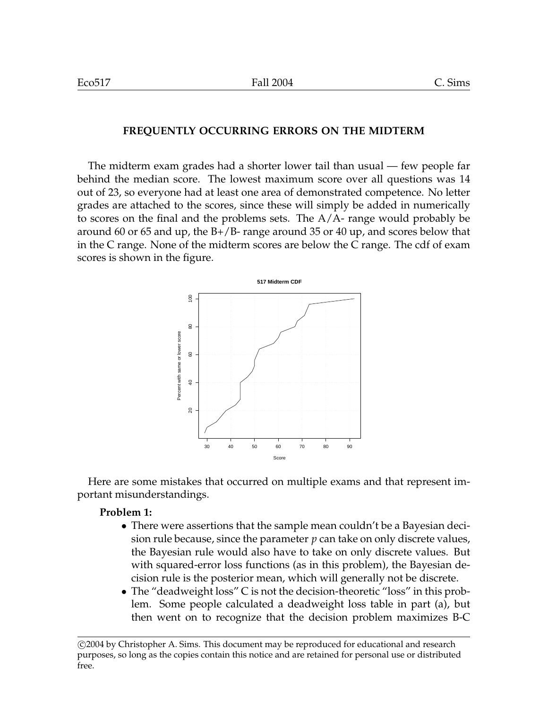#### **FREQUENTLY OCCURRING ERRORS ON THE MIDTERM**

The midterm exam grades had a shorter lower tail than usual — few people far behind the median score. The lowest maximum score over all questions was 14 out of 23, so everyone had at least one area of demonstrated competence. No letter grades are attached to the scores, since these will simply be added in numerically to scores on the final and the problems sets. The A/A- range would probably be around 60 or 65 and up, the  $B+/B-$  range around 35 or 40 up, and scores below that in the C range. None of the midterm scores are below the C range. The cdf of exam scores is shown in the figure.



Here are some mistakes that occurred on multiple exams and that represent important misunderstandings.

#### **Problem 1:**

- There were assertions that the sample mean couldn't be a Bayesian decision rule because, since the parameter *p* can take on only discrete values, the Bayesian rule would also have to take on only discrete values. But with squared-error loss functions (as in this problem), the Bayesian decision rule is the posterior mean, which will generally not be discrete.
- The "deadweight loss" C is not the decision-theoretic "loss" in this problem. Some people calculated a deadweight loss table in part (a), but then went on to recognize that the decision problem maximizes B-C

<sup>°</sup>c 2004 by Christopher A. Sims. This document may be reproduced for educational and research purposes, so long as the copies contain this notice and are retained for personal use or distributed free.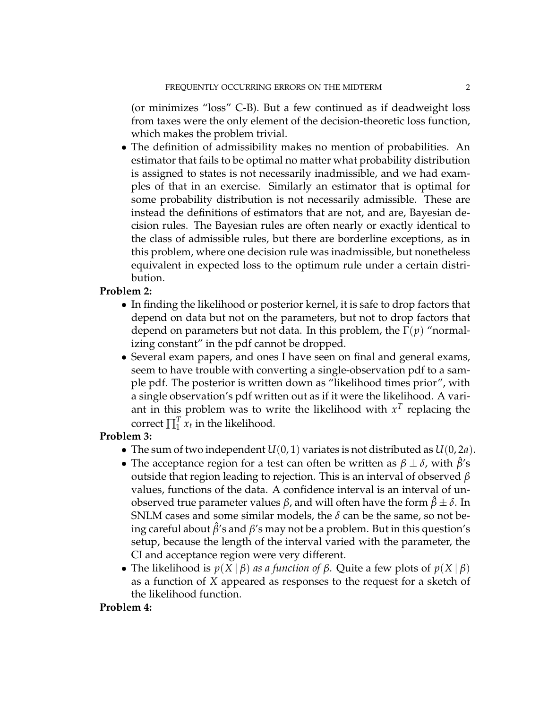(or minimizes "loss" C-B). But a few continued as if deadweight loss from taxes were the only element of the decision-theoretic loss function, which makes the problem trivial.

• The definition of admissibility makes no mention of probabilities. An estimator that fails to be optimal no matter what probability distribution is assigned to states is not necessarily inadmissible, and we had examples of that in an exercise. Similarly an estimator that is optimal for some probability distribution is not necessarily admissible. These are instead the definitions of estimators that are not, and are, Bayesian decision rules. The Bayesian rules are often nearly or exactly identical to the class of admissible rules, but there are borderline exceptions, as in this problem, where one decision rule was inadmissible, but nonetheless equivalent in expected loss to the optimum rule under a certain distribution.

# **Problem 2:**

- In finding the likelihood or posterior kernel, it is safe to drop factors that depend on data but not on the parameters, but not to drop factors that depend on parameters but not data. In this problem, the Γ(*p*) "normalizing constant" in the pdf cannot be dropped.
- Several exam papers, and ones I have seen on final and general exams, seem to have trouble with converting a single-observation pdf to a sample pdf. The posterior is written down as "likelihood times prior", with a single observation's pdf written out as if it were the likelihood. A variant in this problem was to write the likelihood with  $x<sup>T</sup>$  replacing the correct  $\prod_1^T$  $\int_1^T x_t$  in the likelihood.

# **Problem 3:**

- The sum of two independent  $U(0, 1)$  variates is not distributed as  $U(0, 2a)$ .
- The acceptance region for a test can often be written as  $\beta \pm \delta$ , with  $\hat{\beta}'s$ outside that region leading to rejection. This is an interval of observed *β* values, functions of the data. A confidence interval is an interval of unobserved true parameter values *β*, and will often have the form *β*ˆ ± *δ*. In SNLM cases and some similar models, the  $\delta$  can be the same, so not being careful about *β*ˆ's and *β*'s may not be a problem. But in this question's setup, because the length of the interval varied with the parameter, the CI and acceptance region were very different.
- The likelihood is  $p(X | \beta)$  *as a function of*  $\beta$ . Quite a few plots of  $p(X | \beta)$ as a function of *X* appeared as responses to the request for a sketch of the likelihood function.

### **Problem 4:**